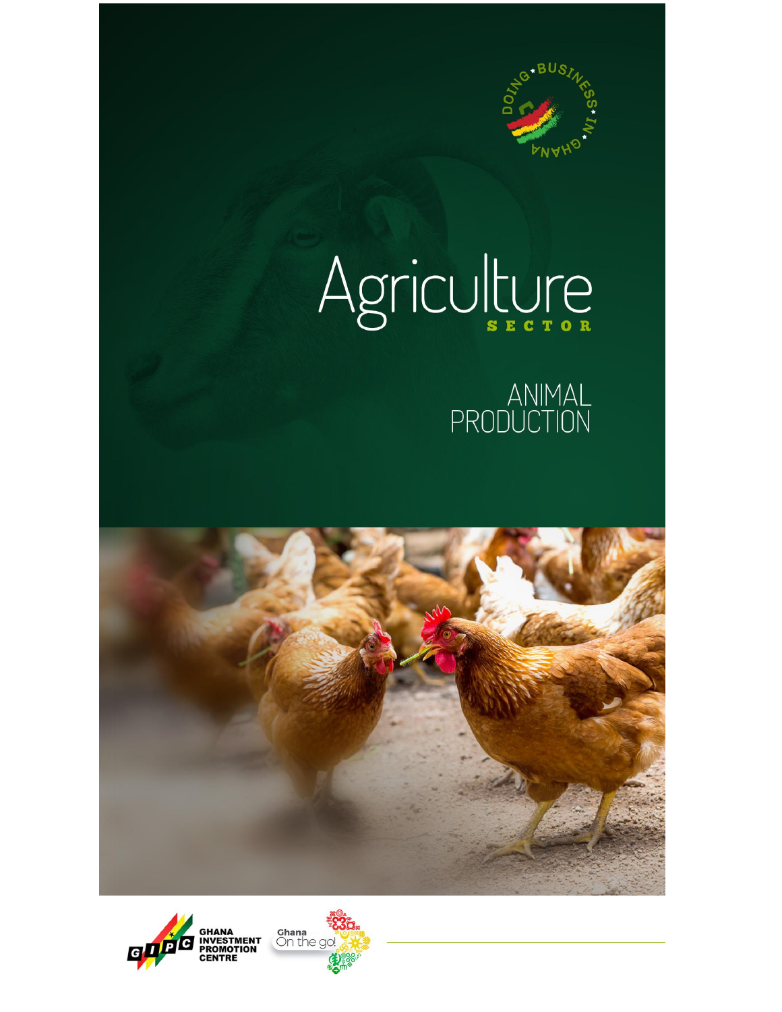

# Agriculture

ANIMAL<br>PRODUCTION





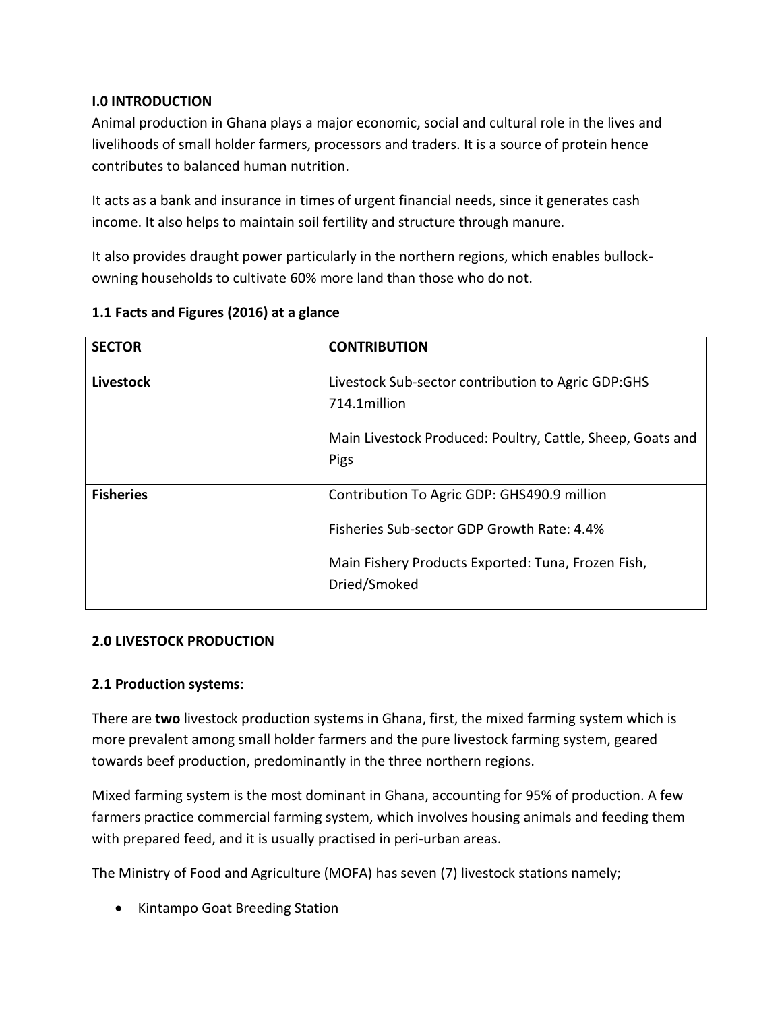## **I.0 INTRODUCTION**

Animal production in Ghana plays a major economic, social and cultural role in the lives and livelihoods of small holder farmers, processors and traders. It is a source of protein hence contributes to balanced human nutrition.

It acts as a bank and insurance in times of urgent financial needs, since it generates cash income. It also helps to maintain soil fertility and structure through manure.

It also provides draught power particularly in the northern regions, which enables bullockowning households to cultivate 60% more land than those who do not.

| <b>SECTOR</b>    | <b>CONTRIBUTION</b>                                                                                                                                             |
|------------------|-----------------------------------------------------------------------------------------------------------------------------------------------------------------|
| <b>Livestock</b> | Livestock Sub-sector contribution to Agric GDP:GHS<br>714.1million<br>Main Livestock Produced: Poultry, Cattle, Sheep, Goats and<br>Pigs                        |
| <b>Fisheries</b> | Contribution To Agric GDP: GHS490.9 million<br>Fisheries Sub-sector GDP Growth Rate: 4.4%<br>Main Fishery Products Exported: Tuna, Frozen Fish,<br>Dried/Smoked |

# **1.1 Facts and Figures (2016) at a glance**

## **2.0 LIVESTOCK PRODUCTION**

## **2.1 Production systems**:

There are **two** livestock production systems in Ghana, first, the mixed farming system which is more prevalent among small holder farmers and the pure livestock farming system, geared towards beef production, predominantly in the three northern regions.

Mixed farming system is the most dominant in Ghana, accounting for 95% of production. A few farmers practice commercial farming system, which involves housing animals and feeding them with prepared feed, and it is usually practised in peri-urban areas.

The Ministry of Food and Agriculture (MOFA) has seven (7) livestock stations namely;

• Kintampo Goat Breeding Station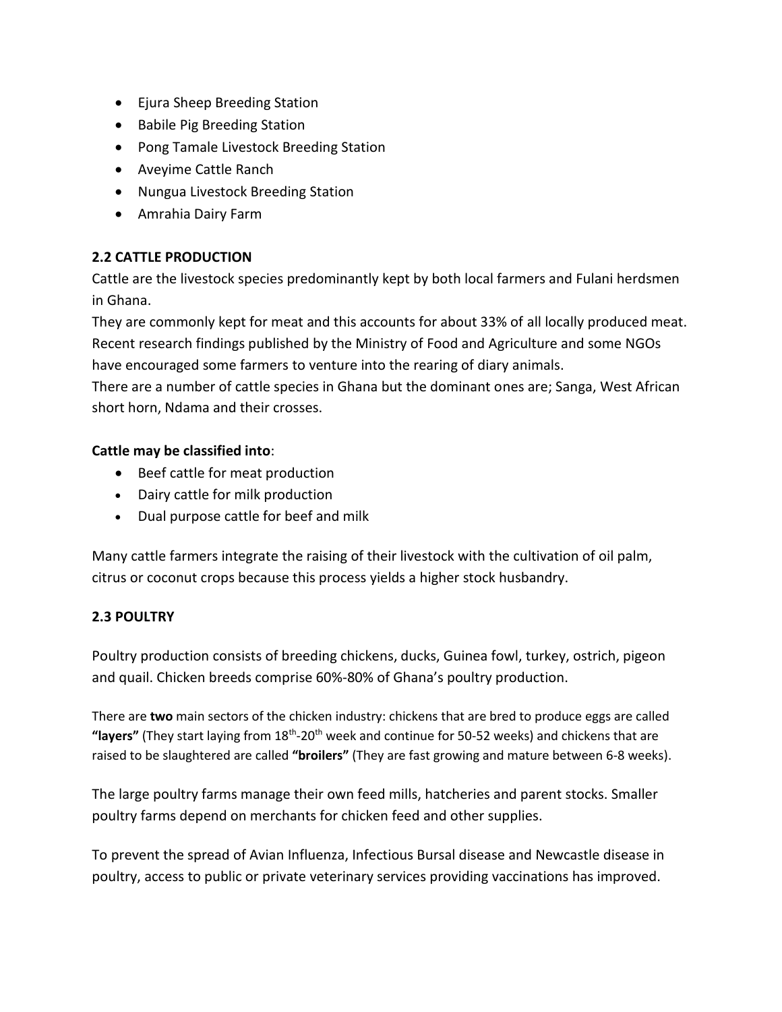- Ejura Sheep Breeding Station
- Babile Pig Breeding Station
- Pong Tamale Livestock Breeding Station
- Aveyime Cattle Ranch
- Nungua Livestock Breeding Station
- Amrahia Dairy Farm

# **2.2 CATTLE PRODUCTION**

Cattle are the livestock species predominantly kept by both local farmers and Fulani herdsmen in Ghana.

They are commonly kept for meat and this accounts for about 33% of all locally produced meat. Recent research findings published by the Ministry of Food and Agriculture and some NGOs have encouraged some farmers to venture into the rearing of diary animals.

There are a number of cattle species in Ghana but the dominant ones are; Sanga, West African short horn, Ndama and their crosses.

## **Cattle may be classified into**:

- Beef cattle for meat production
- Dairy cattle for milk production
- Dual purpose cattle for beef and milk

Many cattle farmers integrate the raising of their livestock with the cultivation of oil palm, citrus or coconut crops because this process yields a higher stock husbandry.

## **2.3 POULTRY**

Poultry production consists of breeding chickens, ducks, Guinea fowl, turkey, ostrich, pigeon and quail. Chicken breeds comprise 60%-80% of Ghana's poultry production.

There are **two** main sectors of the chicken industry: chickens that are bred to produce eggs are called "layers" (They start laying from 18<sup>th</sup>-20<sup>th</sup> week and continue for 50-52 weeks) and chickens that are raised to be slaughtered are called **"broilers"** (They are fast growing and mature between 6-8 weeks).

The large poultry farms manage their own feed mills, hatcheries and parent stocks. Smaller poultry farms depend on merchants for chicken feed and other supplies.

To prevent the spread of Avian Influenza, Infectious Bursal disease and Newcastle disease in poultry, access to public or private veterinary services providing vaccinations has improved.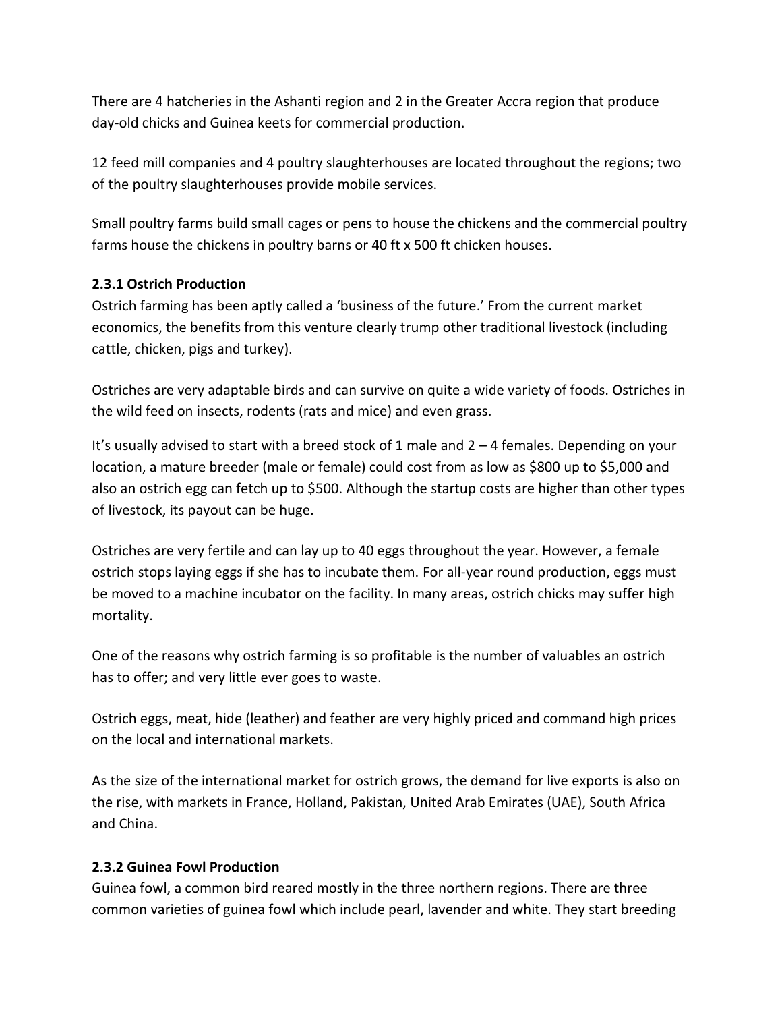There are 4 hatcheries in the Ashanti region and 2 in the Greater Accra region that produce day-old chicks and Guinea keets for commercial production.

12 feed mill companies and 4 poultry slaughterhouses are located throughout the regions; two of the poultry slaughterhouses provide mobile services.

Small poultry farms build small cages or pens to house the chickens and the commercial poultry farms house the chickens in poultry barns or 40 ft x 500 ft chicken houses.

## **2.3.1 Ostrich Production**

Ostrich farming has been aptly called a 'business of the future.' From the current market economics, the benefits from this venture clearly trump other traditional livestock (including cattle, chicken, pigs and turkey).

Ostriches are very adaptable birds and can survive on quite a wide variety of foods. Ostriches in the wild feed on insects, rodents (rats and mice) and even grass.

It's usually advised to start with a breed stock of 1 male and 2 – 4 females. Depending on your location, a mature breeder (male or female) could cost from as low as \$800 up to \$5,000 and also an ostrich egg can fetch up to \$500. Although the startup costs are higher than other types of livestock, its payout can be huge.

Ostriches are very fertile and can lay up to 40 eggs throughout the year. However, a female ostrich stops laying eggs if she has to incubate them. For all-year round production, eggs must be moved to a machine incubator on the facility. In many areas, ostrich chicks may suffer high mortality.

One of the reasons why ostrich farming is so profitable is the number of valuables an ostrich has to offer; and very little ever goes to waste.

Ostrich eggs, meat, hide (leather) and feather are very highly priced and command high prices on the local and international markets.

As the size of the international market for ostrich grows, the demand for live exports is also on the rise, with markets in France, Holland, Pakistan, United Arab Emirates (UAE), South Africa and China.

## **2.3.2 Guinea Fowl Production**

Guinea fowl, a common bird reared mostly in the three northern regions. There are three common varieties of guinea fowl which include pearl, lavender and white. They start breeding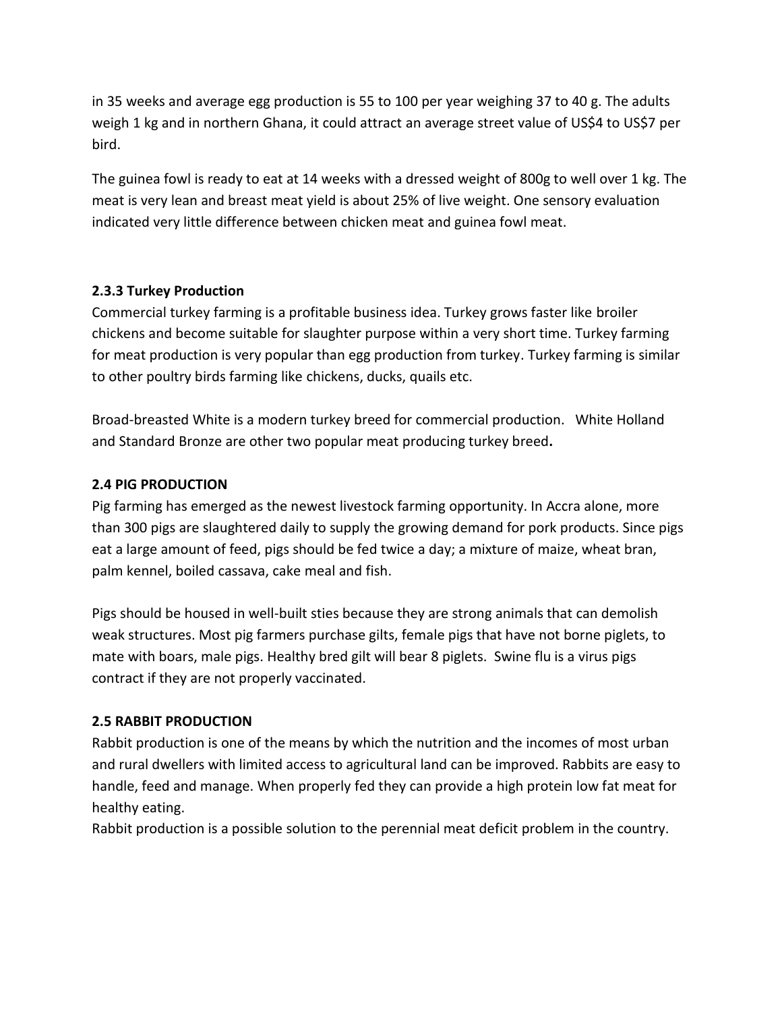in 35 weeks and average egg production is 55 to 100 per year weighing 37 to 40 g. The adults weigh 1 kg and in northern Ghana, it could attract an average street value of US\$4 to US\$7 per bird.

The guinea fowl is ready to eat at 14 weeks with a dressed weight of 800g to well over 1 kg. The meat is very lean and breast meat yield is about 25% of live weight. One sensory evaluation indicated very little difference between chicken meat and guinea fowl meat.

## **2.3.3 Turkey Production**

Commercial turkey farming is a profitable business idea. Turkey grows faster like [broiler](http://www.roysfarm.com/broiler-poultry-farming/) [chickens](http://www.roysfarm.com/broiler-poultry-farming/) and become suitable for slaughter purpose within a very short time. Turkey farming for meat production is very popular than egg production from turkey. Turkey farming is similar to other poultry birds farming like [chickens,](http://www.roysfarm.com/growing-chickens/) [ducks,](http://www.roysfarm.com/duck-farming/) [quails](http://www.roysfarm.com/quail-farming/) etc.

Broad-breasted White is a modern turkey breed for commercial production. White Holland and Standard Bronze are other two popular meat producing turkey breed**.**

#### **2.4 PIG PRODUCTION**

Pig farming has emerged as the newest livestock farming opportunity. In Accra alone, more than 300 pigs are slaughtered daily to supply the growing demand for pork products. Since pigs eat a large amount of feed, pigs should be fed twice a day; a mixture of maize, wheat bran, palm kennel, boiled cassava, cake meal and fish.

Pigs should be housed in well-built sties because they are strong animals that can demolish weak structures. Most pig farmers purchase gilts, female pigs that have not borne piglets, to mate with boars, male pigs. Healthy bred gilt will bear 8 piglets. Swine flu is a virus pigs contract if they are not properly vaccinated.

## **2.5 RABBIT PRODUCTION**

Rabbit production is one of the means by which the nutrition and the incomes of most urban and rural dwellers with limited access to agricultural land can be improved. Rabbits are easy to handle, feed and manage. When properly fed they can provide a high protein low fat meat for healthy eating.

Rabbit production is a possible solution to the perennial meat deficit problem in the country.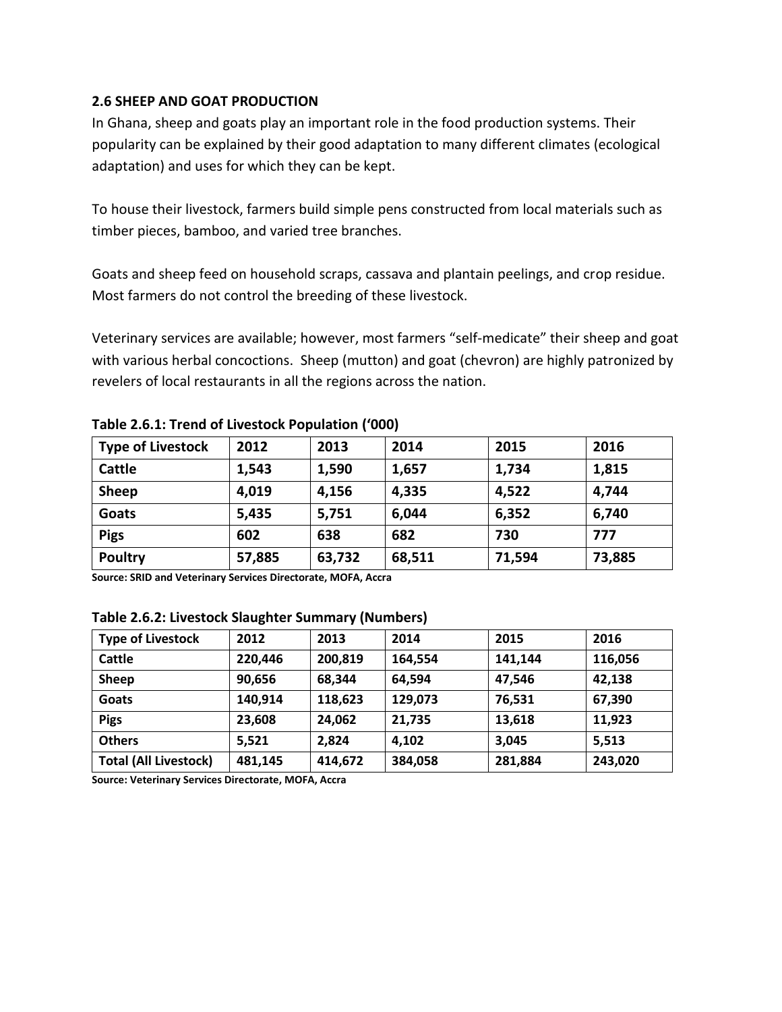### **2.6 SHEEP AND GOAT PRODUCTION**

In Ghana, sheep and goats play an important role in the food production systems. Their popularity can be explained by their good adaptation to many different climates (ecological adaptation) and uses for which they can be kept.

To house their livestock, farmers build simple pens constructed from local materials such as timber pieces, bamboo, and varied tree branches.

Goats and sheep feed on household scraps, cassava and plantain peelings, and crop residue. Most farmers do not control the breeding of these livestock.

Veterinary services are available; however, most farmers "self-medicate" their sheep and goat with various herbal concoctions. Sheep (mutton) and goat (chevron) are highly patronized by revelers of local restaurants in all the regions across the nation.

| <b>Type of Livestock</b> | 2012   | 2013   | 2014   | 2015   | 2016   |
|--------------------------|--------|--------|--------|--------|--------|
| Cattle                   | 1,543  | 1,590  | 1,657  | 1,734  | 1,815  |
| Sheep                    | 4,019  | 4,156  | 4,335  | 4,522  | 4,744  |
| Goats                    | 5,435  | 5,751  | 6,044  | 6,352  | 6,740  |
| <b>Pigs</b>              | 602    | 638    | 682    | 730    | 777    |
| <b>Poultry</b>           | 57,885 | 63,732 | 68,511 | 71,594 | 73,885 |

**Table 2.6.1: Trend of Livestock Population ('000)**

**Source: SRID and Veterinary Services Directorate, MOFA, Accra**

#### **Table 2.6.2: Livestock Slaughter Summary (Numbers)**

| <b>Type of Livestock</b>     | 2012    | 2013    | 2014    | 2015    | 2016    |
|------------------------------|---------|---------|---------|---------|---------|
| Cattle                       | 220,446 | 200,819 | 164,554 | 141,144 | 116,056 |
| <b>Sheep</b>                 | 90,656  | 68,344  | 64,594  | 47,546  | 42,138  |
| Goats                        | 140,914 | 118,623 | 129,073 | 76,531  | 67,390  |
| <b>Pigs</b>                  | 23,608  | 24,062  | 21,735  | 13,618  | 11,923  |
| <b>Others</b>                | 5,521   | 2.824   | 4,102   | 3,045   | 5,513   |
| <b>Total (All Livestock)</b> | 481,145 | 414,672 | 384,058 | 281,884 | 243,020 |

**Source: Veterinary Services Directorate, MOFA, Accra**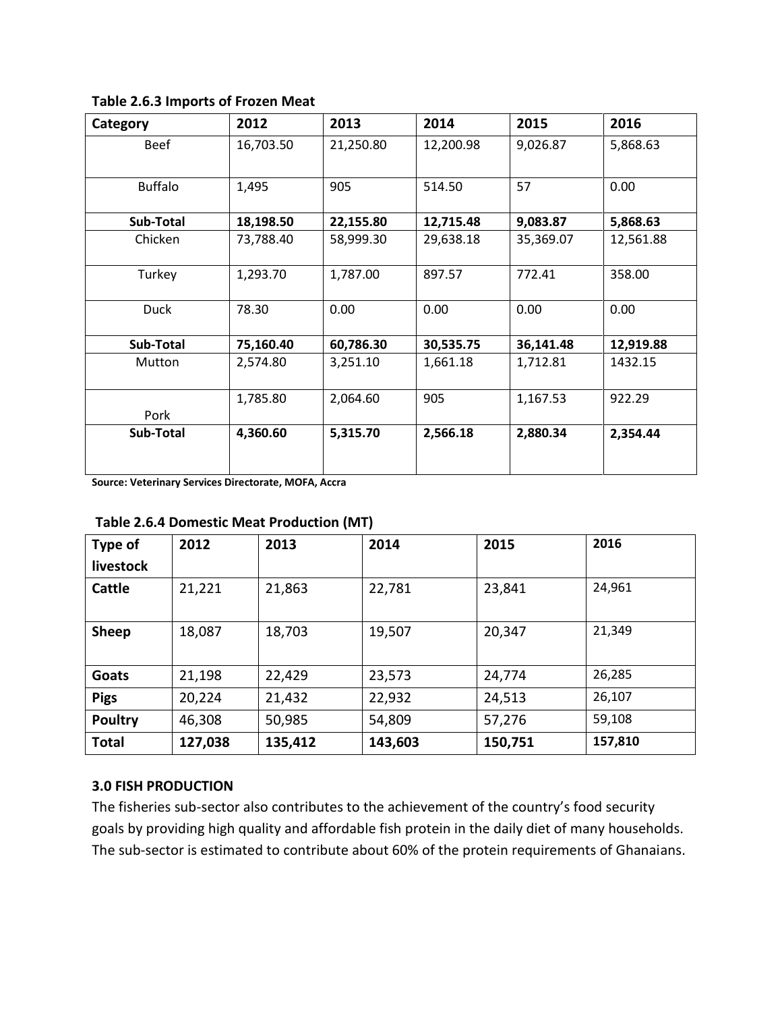| Category       | 2012      | 2013      | 2014      | 2015      | 2016      |
|----------------|-----------|-----------|-----------|-----------|-----------|
| <b>Beef</b>    | 16,703.50 | 21,250.80 | 12,200.98 | 9,026.87  | 5,868.63  |
| <b>Buffalo</b> | 1,495     | 905       | 514.50    | 57        | 0.00      |
| Sub-Total      | 18,198.50 | 22,155.80 | 12,715.48 | 9,083.87  | 5,868.63  |
| Chicken        | 73,788.40 | 58,999.30 | 29,638.18 | 35,369.07 | 12,561.88 |
| Turkey         | 1,293.70  | 1,787.00  | 897.57    | 772.41    | 358.00    |
| <b>Duck</b>    | 78.30     | 0.00      | 0.00      | 0.00      | 0.00      |
| Sub-Total      | 75,160.40 | 60,786.30 | 30,535.75 | 36,141.48 | 12,919.88 |
| <b>Mutton</b>  | 2,574.80  | 3,251.10  | 1,661.18  | 1,712.81  | 1432.15   |
| Pork           | 1,785.80  | 2,064.60  | 905       | 1,167.53  | 922.29    |
| Sub-Total      | 4,360.60  | 5,315.70  | 2,566.18  | 2,880.34  | 2,354.44  |

**Table 2.6.3 Imports of Frozen Meat**

**Source: Veterinary Services Directorate, MOFA, Accra**

| Type of        | 2012    | 2013    | 2014    | 2015    | 2016    |
|----------------|---------|---------|---------|---------|---------|
| livestock      |         |         |         |         |         |
| Cattle         | 21,221  | 21,863  | 22,781  | 23,841  | 24,961  |
| Sheep          | 18,087  | 18,703  | 19,507  | 20,347  | 21,349  |
| Goats          | 21,198  | 22,429  | 23,573  | 24,774  | 26,285  |
| <b>Pigs</b>    | 20,224  | 21,432  | 22,932  | 24,513  | 26,107  |
| <b>Poultry</b> | 46,308  | 50,985  | 54,809  | 57,276  | 59,108  |
| <b>Total</b>   | 127,038 | 135,412 | 143,603 | 150,751 | 157,810 |

## **Table 2.6.4 Domestic Meat Production (MT)**

#### **3.0 FISH PRODUCTION**

The fisheries sub-sector also contributes to the achievement of the country's food security goals by providing high quality and affordable fish protein in the daily diet of many households. The sub-sector is estimated to contribute about 60% of the protein requirements of Ghanaians.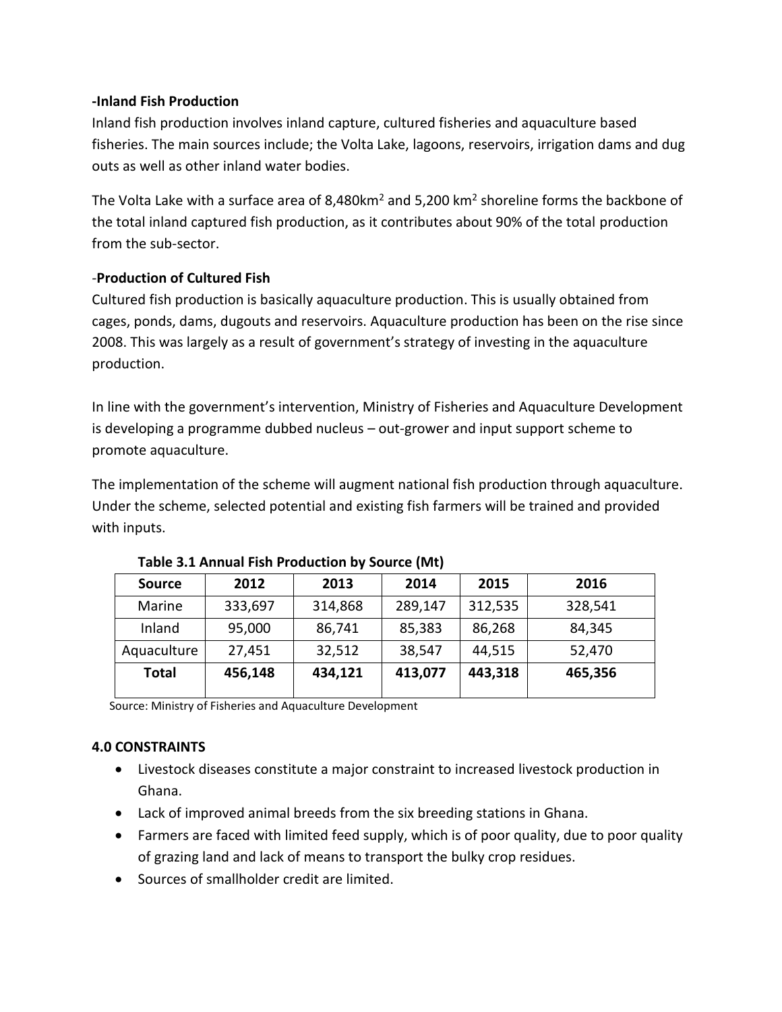## **-Inland Fish Production**

Inland fish production involves inland capture, cultured fisheries and aquaculture based fisheries. The main sources include; the Volta Lake, lagoons, reservoirs, irrigation dams and dug outs as well as other inland water bodies.

The Volta Lake with a surface area of 8,480km<sup>2</sup> and 5,200 km<sup>2</sup> shoreline forms the backbone of the total inland captured fish production, as it contributes about 90% of the total production from the sub-sector.

## *-***Production of Cultured Fish**

Cultured fish production is basically aquaculture production. This is usually obtained from cages, ponds, dams, dugouts and reservoirs. Aquaculture production has been on the rise since 2008. This was largely as a result of government's strategy of investing in the aquaculture production.

In line with the government's intervention, Ministry of Fisheries and Aquaculture Development is developing a programme dubbed nucleus – out-grower and input support scheme to promote aquaculture.

The implementation of the scheme will augment national fish production through aquaculture. Under the scheme, selected potential and existing fish farmers will be trained and provided with inputs.

| <b>Source</b> | 2012    | 2013    | 2014    | 2015    | 2016    |  |
|---------------|---------|---------|---------|---------|---------|--|
| Marine        | 333,697 | 314,868 | 289,147 | 312,535 | 328,541 |  |
| Inland        | 95,000  | 86,741  | 85,383  | 86,268  | 84,345  |  |
| Aquaculture   | 27,451  | 32,512  | 38,547  | 44,515  | 52,470  |  |
| <b>Total</b>  | 456,148 | 434,121 | 413,077 | 443,318 | 465,356 |  |

## **Table 3.1 Annual Fish Production by Source (Mt)**

Source: Ministry of Fisheries and Aquaculture Development

## **4.0 CONSTRAINTS**

- Livestock diseases constitute a major constraint to increased livestock production in Ghana.
- Lack of improved animal breeds from the six breeding stations in Ghana.
- Farmers are faced with limited feed supply, which is of poor quality, due to poor quality of grazing land and lack of means to transport the bulky crop residues.
- Sources of smallholder credit are limited.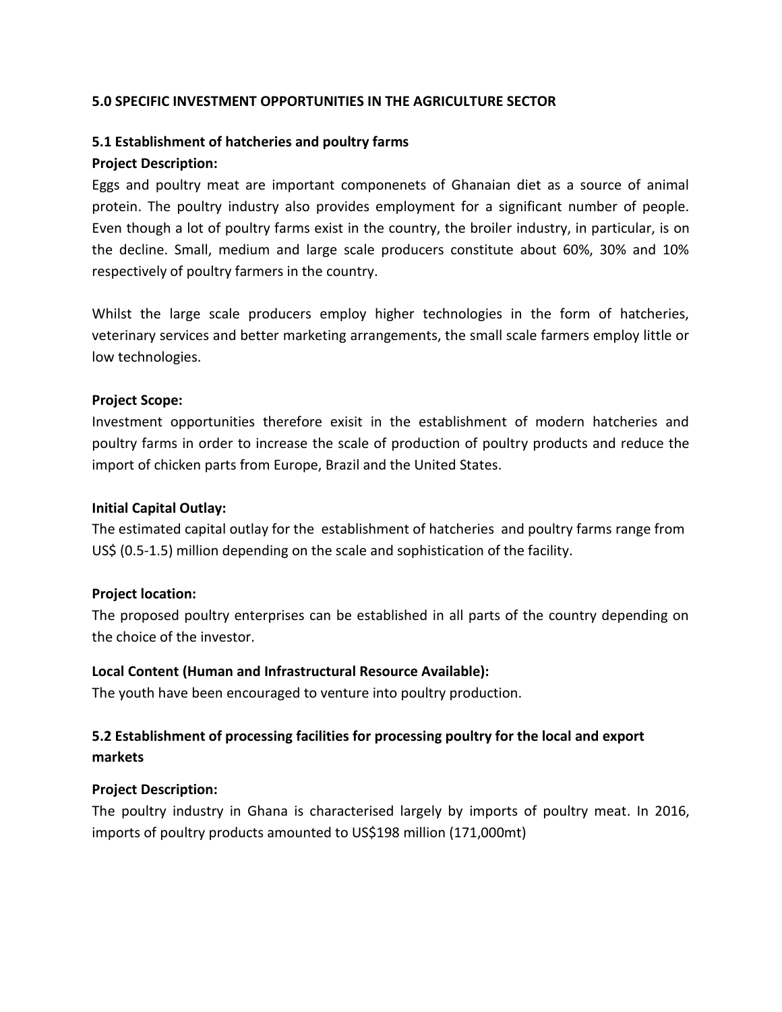#### **5.0 SPECIFIC INVESTMENT OPPORTUNITIES IN THE AGRICULTURE SECTOR**

#### **5.1 Establishment of hatcheries and poultry farms**

#### **Project Description:**

Eggs and poultry meat are important componenets of Ghanaian diet as a source of animal protein. The poultry industry also provides employment for a significant number of people. Even though a lot of poultry farms exist in the country, the broiler industry, in particular, is on the decline. Small, medium and large scale producers constitute about 60%, 30% and 10% respectively of poultry farmers in the country.

Whilst the large scale producers employ higher technologies in the form of hatcheries, veterinary services and better marketing arrangements, the small scale farmers employ little or low technologies.

#### **Project Scope:**

Investment opportunities therefore exisit in the establishment of modern hatcheries and poultry farms in order to increase the scale of production of poultry products and reduce the import of chicken parts from Europe, Brazil and the United States.

#### **Initial Capital Outlay:**

The estimated capital outlay for the establishment of hatcheries and poultry farms range from US\$ (0.5-1.5) million depending on the scale and sophistication of the facility.

#### **Project location:**

The proposed poultry enterprises can be established in all parts of the country depending on the choice of the investor.

#### **Local Content (Human and Infrastructural Resource Available):**

The youth have been encouraged to venture into poultry production.

# **5.2 Establishment of processing facilities for processing poultry for the local and export markets**

#### **Project Description:**

The poultry industry in Ghana is characterised largely by imports of poultry meat. In 2016, imports of poultry products amounted to US\$198 million (171,000mt)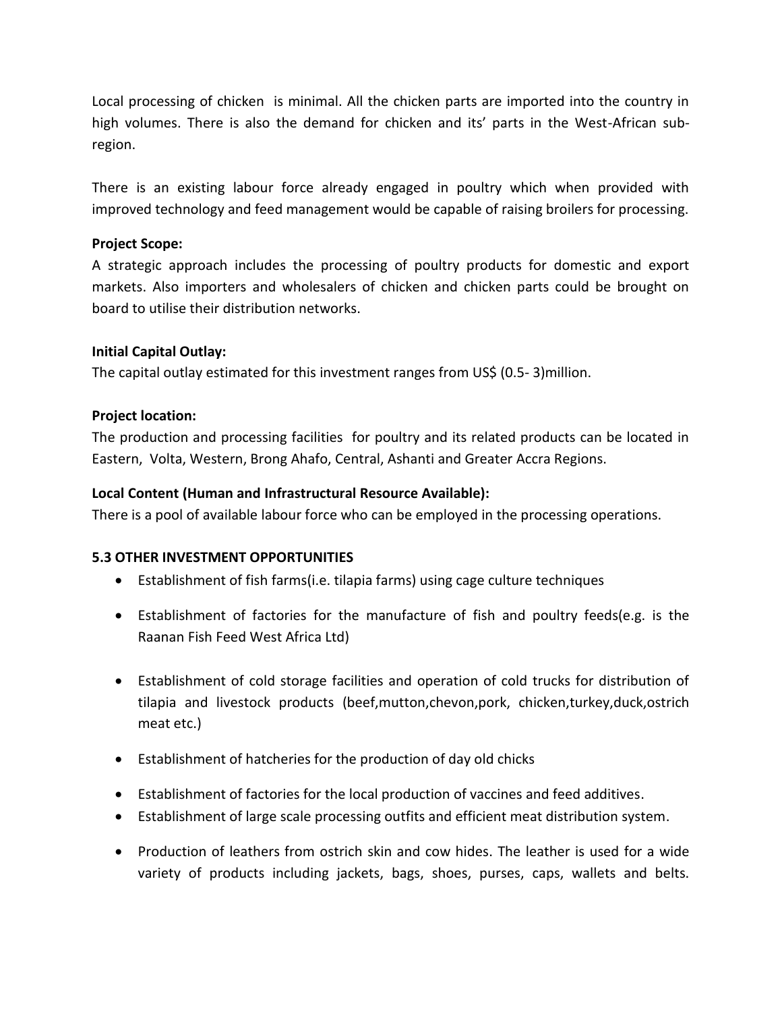Local processing of chicken is minimal. All the chicken parts are imported into the country in high volumes. There is also the demand for chicken and its' parts in the West-African subregion.

There is an existing labour force already engaged in poultry which when provided with improved technology and feed management would be capable of raising broilers for processing.

## **Project Scope:**

A strategic approach includes the processing of poultry products for domestic and export markets. Also importers and wholesalers of chicken and chicken parts could be brought on board to utilise their distribution networks.

### **Initial Capital Outlay:**

The capital outlay estimated for this investment ranges from US\$ (0.5- 3)million.

### **Project location:**

The production and processing facilities for poultry and its related products can be located in Eastern, Volta, Western, Brong Ahafo, Central, Ashanti and Greater Accra Regions.

### **Local Content (Human and Infrastructural Resource Available):**

There is a pool of available labour force who can be employed in the processing operations.

#### **5.3 OTHER INVESTMENT OPPORTUNITIES**

- Establishment of fish farms(i.e. tilapia farms) using cage culture techniques
- Establishment of factories for the manufacture of fish and poultry feeds(e.g. is the Raanan Fish Feed West Africa Ltd)
- Establishment of cold storage facilities and operation of cold trucks for distribution of tilapia and livestock products (beef,mutton,chevon,pork, chicken,turkey,duck,ostrich meat etc.)
- Establishment of hatcheries for the production of day old chicks
- Establishment of factories for the local production of vaccines and feed additives.
- Establishment of large scale processing outfits and efficient meat distribution system.
- Production of leathers from ostrich skin and cow hides. The leather is used for a wide variety of products including jackets, bags, shoes, purses, caps, wallets and belts.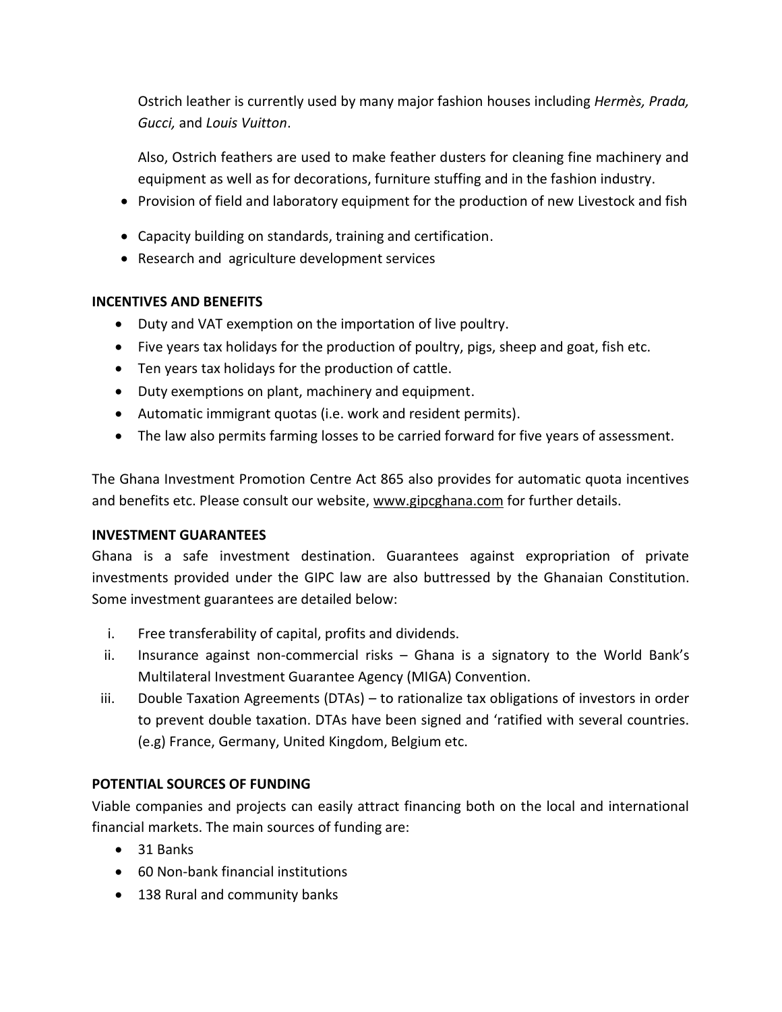Ostrich leather is currently used by many major fashion houses including *Hermès, Prada, Gucci,* and *Louis Vuitton*.

Also, Ostrich feathers are used to make feather dusters for cleaning fine machinery and equipment as well as for decorations, furniture stuffing and in the fashion industry.

- Provision of field and laboratory equipment for the production of new Livestock and fish
- Capacity building on standards, training and certification.
- Research and agriculture development services

### **INCENTIVES AND BENEFITS**

- Duty and VAT exemption on the importation of live poultry.
- Five years tax holidays for the production of poultry, pigs, sheep and goat, fish etc.
- Ten years tax holidays for the production of cattle.
- Duty exemptions on plant, machinery and equipment.
- Automatic immigrant quotas (i.e. work and resident permits).
- The law also permits farming losses to be carried forward for five years of assessment.

The Ghana Investment Promotion Centre Act 865 also provides for automatic quota incentives and benefits etc. Please consult our website, [www.gipcghana.com](http://www.gipcghana.com/) for further details.

#### **INVESTMENT GUARANTEES**

Ghana is a safe investment destination. Guarantees against expropriation of private investments provided under the GIPC law are also buttressed by the Ghanaian Constitution. Some investment guarantees are detailed below:

- i. Free transferability of capital, profits and dividends.
- ii. Insurance against non-commercial risks Ghana is a signatory to the World Bank's Multilateral Investment Guarantee Agency (MIGA) Convention.
- iii. Double Taxation Agreements (DTAs) to rationalize tax obligations of investors in order to prevent double taxation. DTAs have been signed and 'ratified with several countries. (e.g) France, Germany, United Kingdom, Belgium etc.

## **POTENTIAL SOURCES OF FUNDING**

Viable companies and projects can easily attract financing both on the local and international financial markets. The main sources of funding are:

- 31 Banks
- 60 Non-bank financial institutions
- 138 Rural and community banks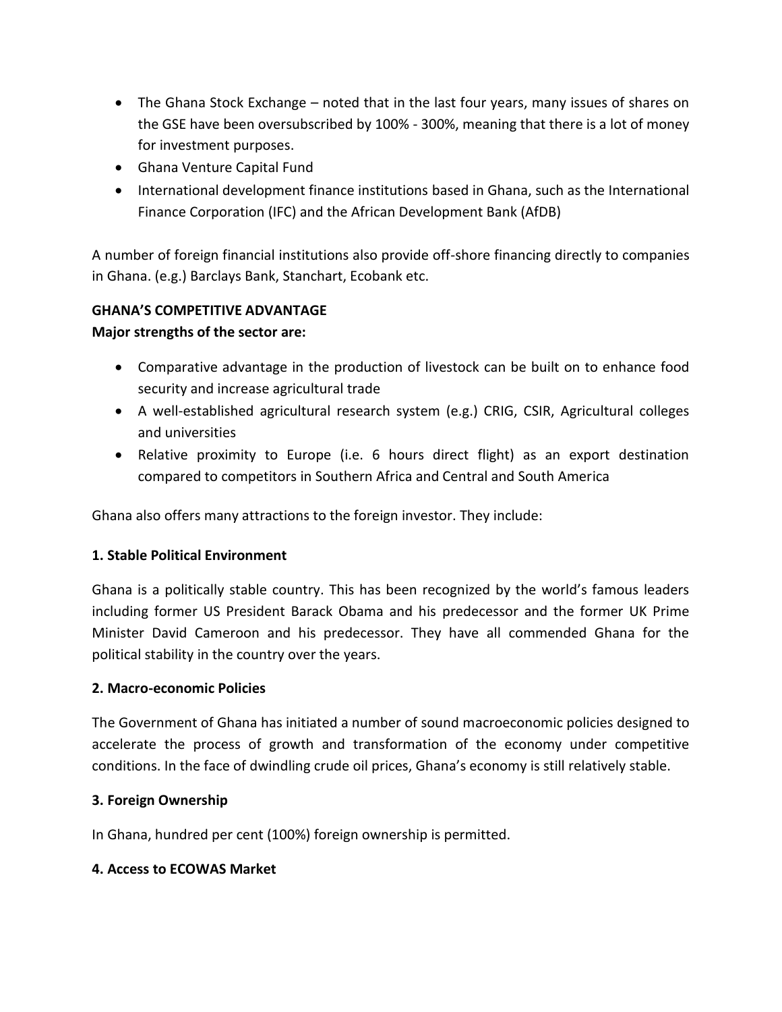- The Ghana Stock Exchange noted that in the last four years, many issues of shares on the GSE have been oversubscribed by 100% - 300%, meaning that there is a lot of money for investment purposes.
- Ghana Venture Capital Fund
- International development finance institutions based in Ghana, such as the International Finance Corporation (IFC) and the African Development Bank (AfDB)

A number of foreign financial institutions also provide off-shore financing directly to companies in Ghana. (e.g.) Barclays Bank, Stanchart, Ecobank etc.

# **GHANA'S COMPETITIVE ADVANTAGE**

# **Major strengths of the sector are:**

- Comparative advantage in the production of livestock can be built on to enhance food security and increase agricultural trade
- A well-established agricultural research system (e.g.) CRIG, CSIR, Agricultural colleges and universities
- Relative proximity to Europe (i.e. 6 hours direct flight) as an export destination compared to competitors in Southern Africa and Central and South America

Ghana also offers many attractions to the foreign investor. They include:

## **1. Stable Political Environment**

Ghana is a politically stable country. This has been recognized by the world's famous leaders including former US President Barack Obama and his predecessor and the former UK Prime Minister David Cameroon and his predecessor. They have all commended Ghana for the political stability in the country over the years.

## **2. Macro-economic Policies**

The Government of Ghana has initiated a number of sound macroeconomic policies designed to accelerate the process of growth and transformation of the economy under competitive conditions. In the face of dwindling crude oil prices, Ghana's economy is still relatively stable.

## **3. Foreign Ownership**

In Ghana, hundred per cent (100%) foreign ownership is permitted.

## **4. Access to ECOWAS Market**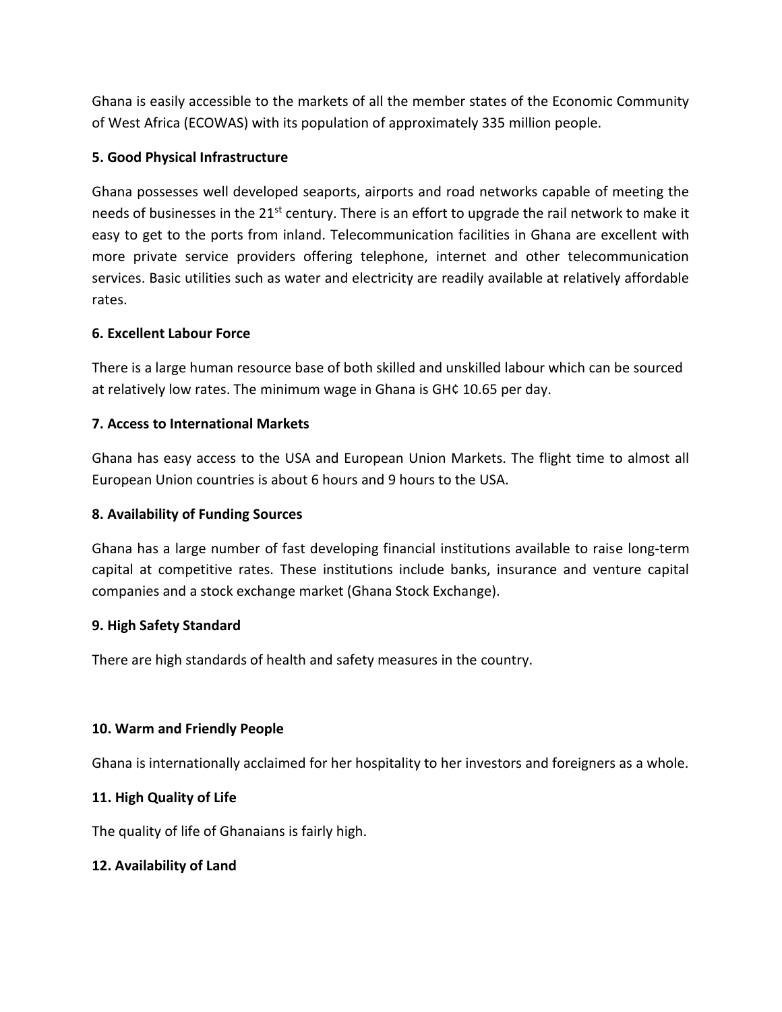Ghana is easily accessible to the markets of all the member states of the Economic Community of West Africa (ECOWAS) with its population of approximately 335 million people.

## **5. Good Physical Infrastructure**

Ghana possesses well developed seaports, airports and road networks capable of meeting the needs of businesses in the  $21^{st}$  century. There is an effort to upgrade the rail network to make it easy to get to the ports from inland. Telecommunication facilities in Ghana are excellent with more private service providers offering telephone, internet and other telecommunication services. Basic utilities such as water and electricity are readily available at relatively affordable rates.

## **6. Excellent Labour Force**

There is a large human resource base of both skilled and unskilled labour which can be sourced at relatively low rates. The minimum wage in Ghana is GH¢ 10.65 per day.

# **7. Access to International Markets**

Ghana has easy access to the USA and European Union Markets. The flight time to almost all European Union countries is about 6 hours and 9 hours to the USA.

## **8. Availability of Funding Sources**

Ghana has a large number of fast developing financial institutions available to raise long-term capital at competitive rates. These institutions include banks, insurance and venture capital companies and a stock exchange market (Ghana Stock Exchange).

## **9. High Safety Standard**

There are high standards of health and safety measures in the country.

## **10. Warm and Friendly People**

Ghana is internationally acclaimed for her hospitality to her investors and foreigners as a whole.

# **11. High Quality of Life**

The quality of life of Ghanaians is fairly high.

## **12. Availability of Land**